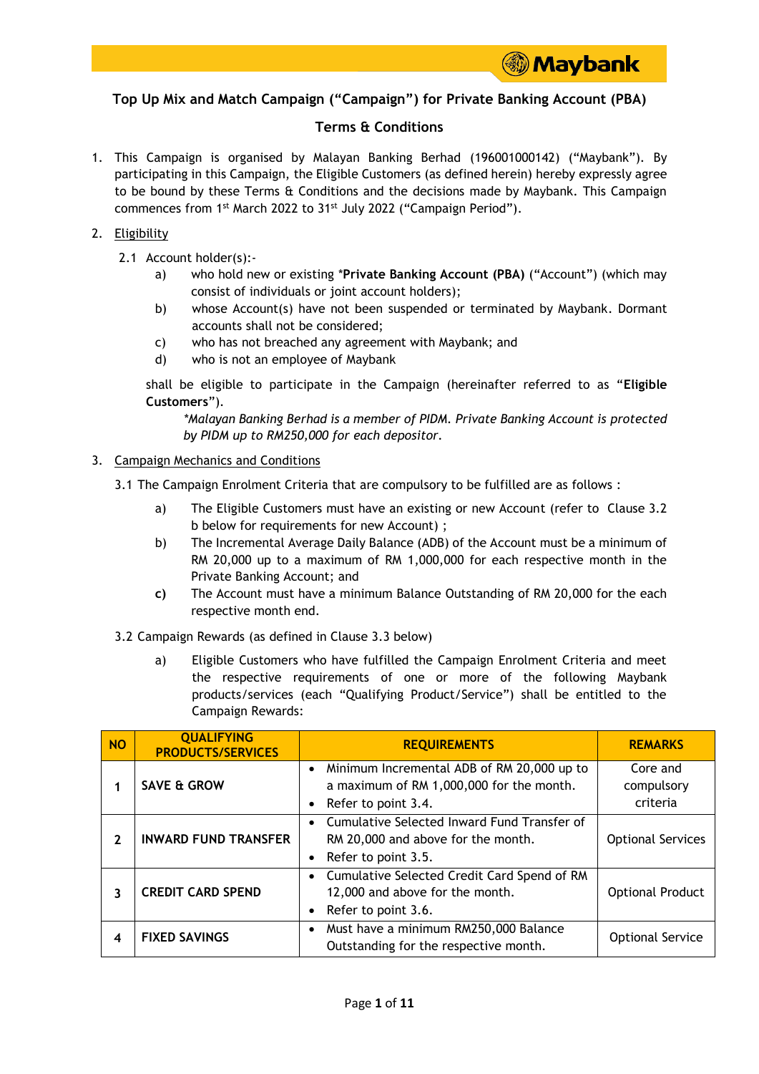# **Top Up Mix and Match Campaign ("Campaign") for Private Banking Account (PBA)**

## **Terms & Conditions**

1. This Campaign is organised by Malayan Banking Berhad (196001000142) ("Maybank"). By participating in this Campaign, the Eligible Customers (as defined herein) hereby expressly agree to be bound by these Terms & Conditions and the decisions made by Maybank. This Campaign commences from 1<sup>st</sup> March 2022 to 31<sup>st</sup> July 2022 ("Campaign Period").

#### 2. Eligibility

- 2.1 Account holder(s):
	- a) who hold new or existing \***Private Banking Account (PBA)** ("Account") (which may consist of individuals or joint account holders);
	- b) whose Account(s) have not been suspended or terminated by Maybank. Dormant accounts shall not be considered;
	- c) who has not breached any agreement with Maybank; and
	- d) who is not an employee of Maybank

shall be eligible to participate in the Campaign (hereinafter referred to as "**Eligible Customers**").

*\*Malayan Banking Berhad is a member of PIDM. Private Banking Account is protected by PIDM up to RM250,000 for each depositor.*

#### 3. Campaign Mechanics and Conditions

- 3.1 The Campaign Enrolment Criteria that are compulsory to be fulfilled are as follows :
	- a) The Eligible Customers must have an existing or new Account (refer to Clause 3.2 b below for requirements for new Account) ;
	- b) The Incremental Average Daily Balance (ADB) of the Account must be a minimum of RM 20,000 up to a maximum of RM 1,000,000 for each respective month in the Private Banking Account; and
	- **c)** The Account must have a minimum Balance Outstanding of RM 20,000 for the each respective month end.
- 3.2 Campaign Rewards (as defined in Clause 3.3 below)
	- a) Eligible Customers who have fulfilled the Campaign Enrolment Criteria and meet the respective requirements of one or more of the following Maybank products/services (each "Qualifying Product/Service") shall be entitled to the Campaign Rewards:

| <b>NO</b> | <b>QUALIFYING</b><br><b>PRODUCTS/SERVICES</b> | <b>REQUIREMENTS</b>                                                                                             | <b>REMARKS</b>                     |
|-----------|-----------------------------------------------|-----------------------------------------------------------------------------------------------------------------|------------------------------------|
|           | <b>SAVE &amp; GROW</b>                        | Minimum Incremental ADB of RM 20,000 up to<br>a maximum of RM 1,000,000 for the month.<br>• Refer to point 3.4. | Core and<br>compulsory<br>criteria |
| 2         | <b>INWARD FUND TRANSFER</b>                   | • Cumulative Selected Inward Fund Transfer of<br>RM 20,000 and above for the month.<br>• Refer to point 3.5.    | <b>Optional Services</b>           |
| 3         | <b>CREDIT CARD SPEND</b>                      | • Cumulative Selected Credit Card Spend of RM<br>12,000 and above for the month.<br>Refer to point 3.6.         | <b>Optional Product</b>            |
| 4         | <b>FIXED SAVINGS</b>                          | Must have a minimum RM250,000 Balance<br>Outstanding for the respective month.                                  | <b>Optional Service</b>            |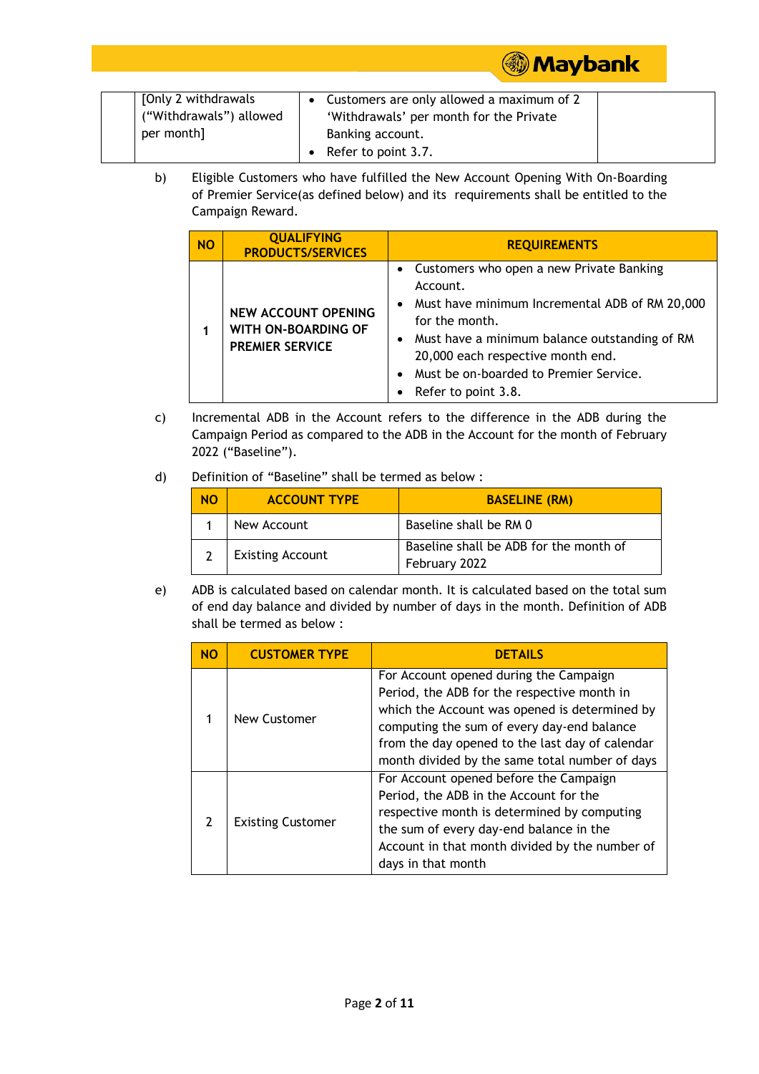| [Only 2 withdrawals]    | Customers are only allowed a maximum of 2 |  |
|-------------------------|-------------------------------------------|--|
| ("Withdrawals") allowed | 'Withdrawals' per month for the Private   |  |
| per month]              | Banking account.                          |  |
|                         | Refer to point 3.7.                       |  |

b) Eligible Customers who have fulfilled the New Account Opening With On-Boarding of Premier Service(as defined below) and its requirements shall be entitled to the Campaign Reward.

| <b>NO</b> | <b>QUALIFYING</b><br><b>PRODUCTS/SERVICES</b>                               | <b>REQUIREMENTS</b>                                                                                                                                                                                                                                                                              |
|-----------|-----------------------------------------------------------------------------|--------------------------------------------------------------------------------------------------------------------------------------------------------------------------------------------------------------------------------------------------------------------------------------------------|
|           | <b>NEW ACCOUNT OPENING</b><br>WITH ON-BOARDING OF<br><b>PREMIER SERVICE</b> | • Customers who open a new Private Banking<br>Account.<br>Must have minimum Incremental ADB of RM 20,000<br>$\bullet$<br>for the month.<br>• Must have a minimum balance outstanding of RM<br>20,000 each respective month end.<br>Must be on-boarded to Premier Service.<br>Refer to point 3.8. |

**Maybank** 

- c) Incremental ADB in the Account refers to the difference in the ADB during the Campaign Period as compared to the ADB in the Account for the month of February 2022 ("Baseline").
- d) Definition of "Baseline" shall be termed as below :

| <b>NO</b> | <b>ACCOUNT TYPE</b>     | <b>BASELINE (RM)</b>                                    |
|-----------|-------------------------|---------------------------------------------------------|
|           | New Account             | Baseline shall be RM 0                                  |
|           | <b>Existing Account</b> | Baseline shall be ADB for the month of<br>February 2022 |

e) ADB is calculated based on calendar month. It is calculated based on the total sum of end day balance and divided by number of days in the month. Definition of ADB shall be termed as below :

| <b>NO</b>     | <b>CUSTOMER TYPE</b>     | <b>DETAILS</b>                                                                                                                                                                                                                                                                            |
|---------------|--------------------------|-------------------------------------------------------------------------------------------------------------------------------------------------------------------------------------------------------------------------------------------------------------------------------------------|
|               | New Customer             | For Account opened during the Campaign<br>Period, the ADB for the respective month in<br>which the Account was opened is determined by<br>computing the sum of every day-end balance<br>from the day opened to the last day of calendar<br>month divided by the same total number of days |
| $\mathcal{P}$ | <b>Existing Customer</b> | For Account opened before the Campaign<br>Period, the ADB in the Account for the<br>respective month is determined by computing<br>the sum of every day-end balance in the<br>Account in that month divided by the number of<br>days in that month                                        |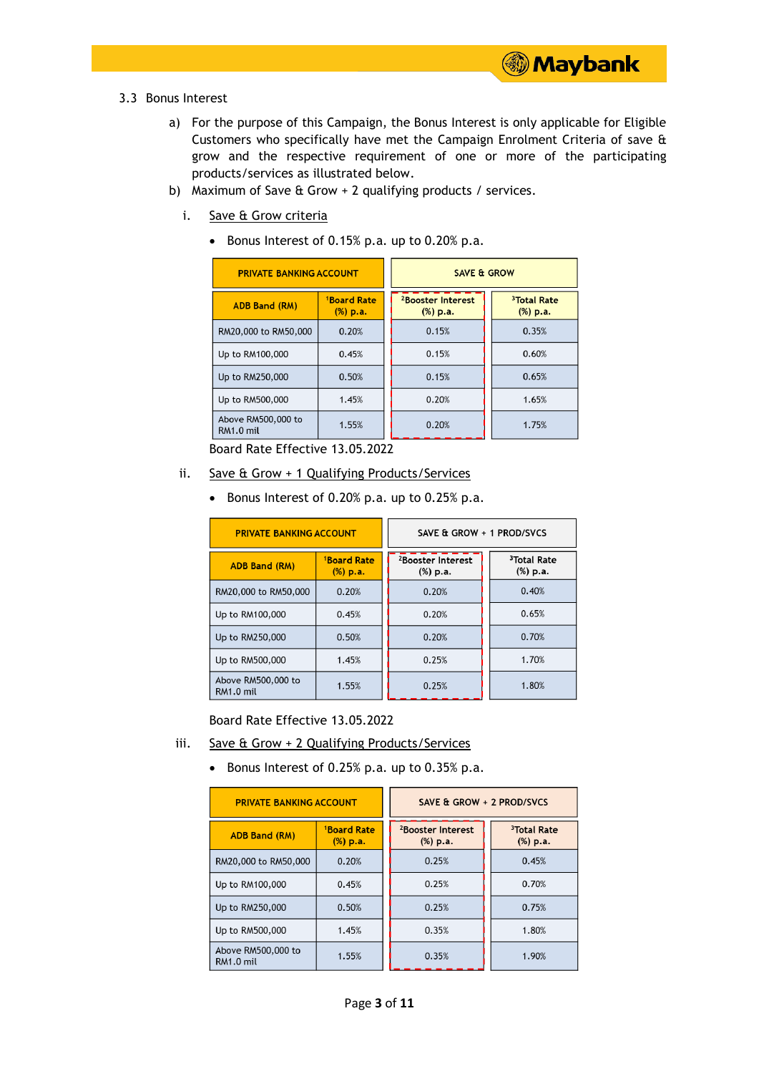- 3.3 Bonus Interest
	- a) For the purpose of this Campaign, the Bonus Interest is only applicable for Eligible Customers who specifically have met the Campaign Enrolment Criteria of save & grow and the respective requirement of one or more of the participating products/services as illustrated below.

**Maybank** 

- b) Maximum of Save & Grow + 2 qualifying products / services.
	- i. Save & Grow criteria
		- Bonus Interest of 0.15% p.a. up to 0.20% p.a.

| <b>PRIVATE BANKING ACCOUNT</b>  |                                          | <b>SAVE &amp; GROW</b>                    |                                     |  |
|---------------------------------|------------------------------------------|-------------------------------------------|-------------------------------------|--|
| <b>ADB Band (RM)</b>            | <sup>1</sup> Board Rate<br>$(% )$ $p.a.$ | <sup>2</sup> Booster Interest<br>(%) p.a. | <sup>3</sup> Total Rate<br>(%) p.a. |  |
| RM20,000 to RM50,000            | 0.20%                                    | 0.15%                                     | 0.35%                               |  |
| Up to RM100,000                 | 0.45%                                    | 0.15%                                     | 0.60%                               |  |
| Up to RM250,000                 | 0.50%                                    | 0.15%                                     | 0.65%                               |  |
| Up to RM500,000                 | 1.45%                                    | 0.20%                                     | 1.65%                               |  |
| Above RM500,000 to<br>RM1.0 mil | 1.55%                                    | 0.20%                                     | 1.75%                               |  |

Board Rate Effective 13.05.2022

- ii. Save & Grow + 1 Qualifying Products/Services
	- Bonus Interest of 0.20% p.a. up to 0.25% p.a.

| <b>PRIVATE BANKING ACCOUNT</b>  |                                     | SAVE & GROW + 1 PROD/SVCS                 |                                     |
|---------------------------------|-------------------------------------|-------------------------------------------|-------------------------------------|
| <b>ADB Band (RM)</b>            | <sup>1</sup> Board Rate<br>(%) p.a. | <sup>2</sup> Booster Interest<br>(%) p.a. | <sup>3</sup> Total Rate<br>(%) p.a. |
| RM20,000 to RM50,000            | 0.20%                               | 0.20%                                     | 0.40%                               |
| Up to RM100,000                 | 0.45%                               | 0.20%                                     | 0.65%                               |
| Up to RM250,000                 | 0.50%                               | 0.20%                                     | 0.70%                               |
| Up to RM500,000                 | 1.45%                               | 0.25%                                     | 1.70%                               |
| Above RM500,000 to<br>RM1.0 mil | 1.55%                               | 0.25%                                     | 1.80%                               |

Board Rate Effective 13.05.2022

- iii. Save & Grow + 2 Qualifying Products/Services
	- Bonus Interest of 0.25% p.a. up to  $0.35\%$  p.a.

| <b>PRIVATE BANKING ACCOUNT</b>  |                                          | SAVE & GROW + 2 PROD/SVCS                 |                                     |
|---------------------------------|------------------------------------------|-------------------------------------------|-------------------------------------|
| <b>ADB Band (RM)</b>            | <sup>1</sup> Board Rate<br>$(% )$ $p.a.$ | <sup>2</sup> Booster Interest<br>(%) p.a. | <sup>3</sup> Total Rate<br>(%) p.a. |
| RM20,000 to RM50,000            | 0.20%                                    | 0.25%                                     | 0.45%                               |
| Up to RM100,000                 | 0.45%                                    | 0.25%                                     | 0.70%                               |
| Up to RM250,000                 | 0.50%                                    | 0.25%                                     | 0.75%                               |
| Up to RM500,000                 | 1.45%                                    | 0.35%                                     | 1.80%                               |
| Above RM500,000 to<br>RM1.0 mil | 1.55%                                    | 0.35%                                     | 1.90%                               |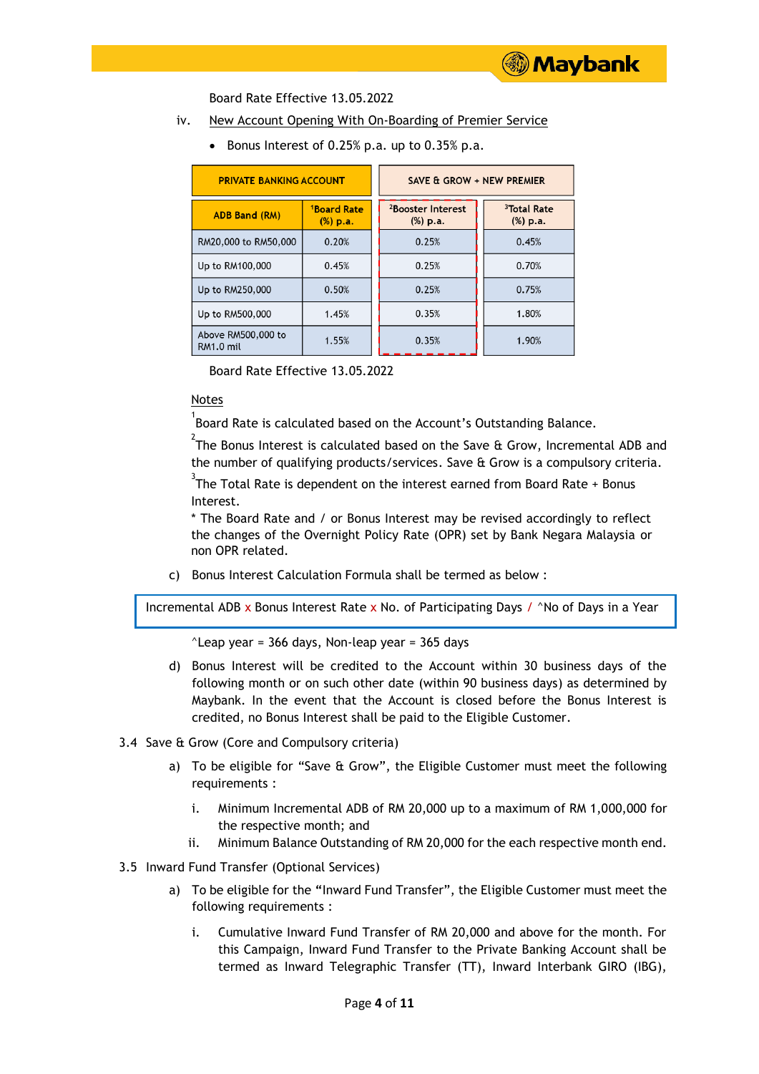#### Board Rate Effective 13.05.2022

- iv. New Account Opening With On-Boarding of Premier Service
	- Bonus Interest of 0.25% p.a. up to  $0.35%$  p.a.

| <b>PRIVATE BANKING ACCOUNT</b>         |                                        | SAVE & GROW + NEW PREMIER                      |                                     |  |  |
|----------------------------------------|----------------------------------------|------------------------------------------------|-------------------------------------|--|--|
| <b>ADB Band (RM)</b>                   | <sup>1</sup> Board Rate<br>$(\%)$ p.a. | <sup>2</sup> Booster Interest<br>$(% )$ $p.a.$ | <sup>3</sup> Total Rate<br>(%) p.a. |  |  |
| RM20,000 to RM50,000                   | 0.20%                                  | 0.25%                                          | 0.45%                               |  |  |
| Up to RM100,000                        | 0.45%                                  | 0.25%                                          | 0.70%                               |  |  |
| Up to RM250,000                        | 0.50%                                  | 0.25%                                          | 0.75%                               |  |  |
| Up to RM500,000                        | 1.45%                                  | 0.35%                                          | 1.80%                               |  |  |
| Above RM500,000 to<br><b>RM1.0 mil</b> | 1.55%                                  | 0.35%                                          | 1.90%                               |  |  |

Board Rate Effective 13.05.2022

### Notes

 $^{1}$ Board Rate is calculated based on the Account's Outstanding Balance.

 $^{2}$ The Bonus Interest is calculated based on the Save & Grow, Incremental ADB and the number of qualifying products/services. Save & Grow is a compulsory criteria.

 $^3$ The Total Rate is dependent on the interest earned from Board Rate + Bonus Interest.

\* The Board Rate and / or Bonus Interest may be revised accordingly to reflect the changes of the Overnight Policy Rate (OPR) set by Bank Negara Malaysia or non OPR related.

c) Bonus Interest Calculation Formula shall be termed as below :

Incremental ADB x Bonus Interest Rate x No. of Participating Days /  $\land$  No of Days in a Year

 $\textdegree$ Leap year = 366 days, Non-leap year = 365 days

- d) Bonus Interest will be credited to the Account within 30 business days of the following month or on such other date (within 90 business days) as determined by Maybank. In the event that the Account is closed before the Bonus Interest is credited, no Bonus Interest shall be paid to the Eligible Customer.
- 3.4 Save & Grow (Core and Compulsory criteria)
	- a) To be eligible for "Save & Grow", the Eligible Customer must meet the following requirements :
		- i. Minimum Incremental ADB of RM 20,000 up to a maximum of RM 1,000,000 for the respective month; and
		- ii. Minimum Balance Outstanding of RM 20,000 for the each respective month end.
- 3.5 Inward Fund Transfer (Optional Services)
	- a) To be eligible for the **"**Inward Fund Transfer", the Eligible Customer must meet the following requirements :
		- i. Cumulative Inward Fund Transfer of RM 20,000 and above for the month. For this Campaign, Inward Fund Transfer to the Private Banking Account shall be termed as Inward Telegraphic Transfer (TT), Inward Interbank GIRO (IBG),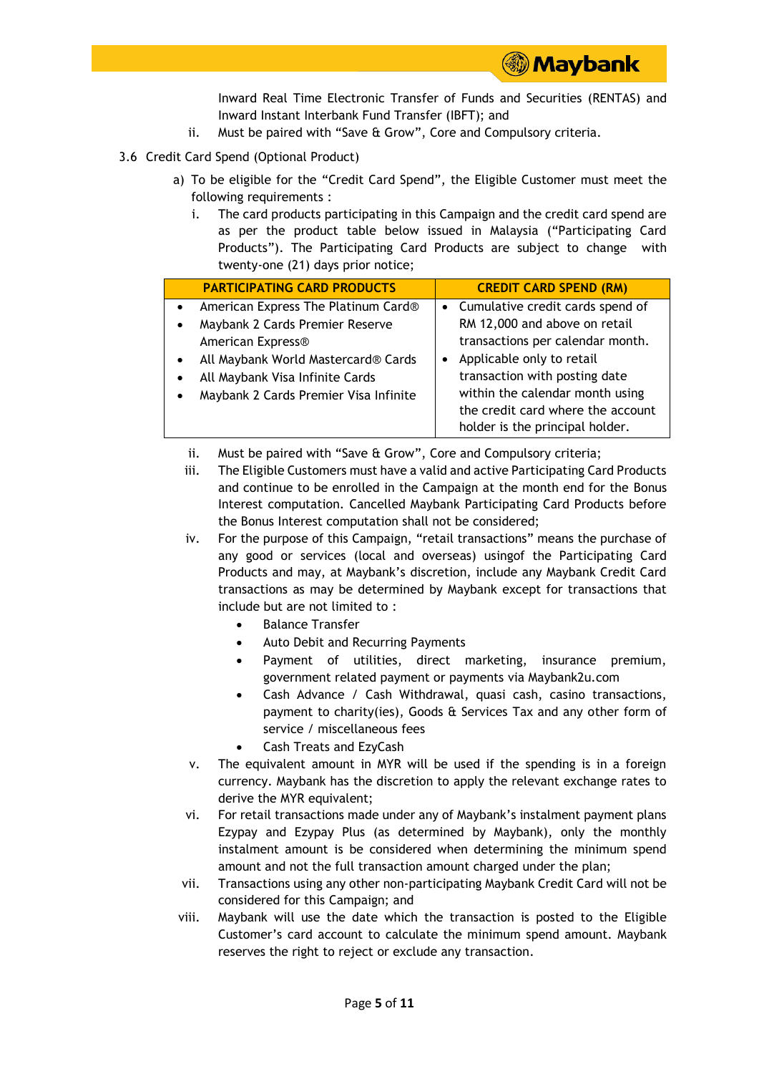

Inward Real Time Electronic Transfer of Funds and Securities (RENTAS) and Inward Instant Interbank Fund Transfer (IBFT); and

- ii. Must be paired with "Save & Grow", Core and Compulsory criteria.
- 3.6 Credit Card Spend (Optional Product)
	- a) To be eligible for the "Credit Card Spend", the Eligible Customer must meet the following requirements :
		- i. The card products participating in this Campaign and the credit card spend are as per the product table below issued in Malaysia ("Participating Card Products"). The Participating Card Products are subject to change with twenty-one (21) days prior notice;

|           | <b>PARTICIPATING CARD PRODUCTS</b>    |           | <b>CREDIT CARD SPEND (RM)</b>      |
|-----------|---------------------------------------|-----------|------------------------------------|
| $\bullet$ | American Express The Platinum Card®   |           | • Cumulative credit cards spend of |
| $\bullet$ | Maybank 2 Cards Premier Reserve       |           | RM 12,000 and above on retail      |
|           | American Express®                     |           | transactions per calendar month.   |
|           | All Maybank World Mastercard® Cards   | $\bullet$ | Applicable only to retail          |
|           | All Maybank Visa Infinite Cards       |           | transaction with posting date      |
|           | Maybank 2 Cards Premier Visa Infinite |           | within the calendar month using    |
|           |                                       |           | the credit card where the account  |
|           |                                       |           | holder is the principal holder.    |

- ii. Must be paired with "Save & Grow", Core and Compulsory criteria;
- iii. The Eligible Customers must have a valid and active Participating Card Products and continue to be enrolled in the Campaign at the month end for the Bonus Interest computation. Cancelled Maybank Participating Card Products before the Bonus Interest computation shall not be considered;
- iv. For the purpose of this Campaign, "retail transactions" means the purchase of any good or services (local and overseas) usingof the Participating Card Products and may, at Maybank's discretion, include any Maybank Credit Card transactions as may be determined by Maybank except for transactions that include but are not limited to :
	- Balance Transfer
	- Auto Debit and Recurring Payments
	- Payment of utilities, direct marketing, insurance premium, government related payment or payments via Maybank2u.com
	- Cash Advance / Cash Withdrawal, quasi cash, casino transactions, payment to charity(ies), Goods & Services Tax and any other form of service / miscellaneous fees
	- Cash Treats and EzyCash
- v. The equivalent amount in MYR will be used if the spending is in a foreign currency. Maybank has the discretion to apply the relevant exchange rates to derive the MYR equivalent:
- vi. For retail transactions made under any of Maybank's instalment payment plans Ezypay and Ezypay Plus (as determined by Maybank), only the monthly instalment amount is be considered when determining the minimum spend amount and not the full transaction amount charged under the plan;
- vii. Transactions using any other non-participating Maybank Credit Card will not be considered for this Campaign; and
- viii. Maybank will use the date which the transaction is posted to the Eligible Customer's card account to calculate the minimum spend amount. Maybank reserves the right to reject or exclude any transaction.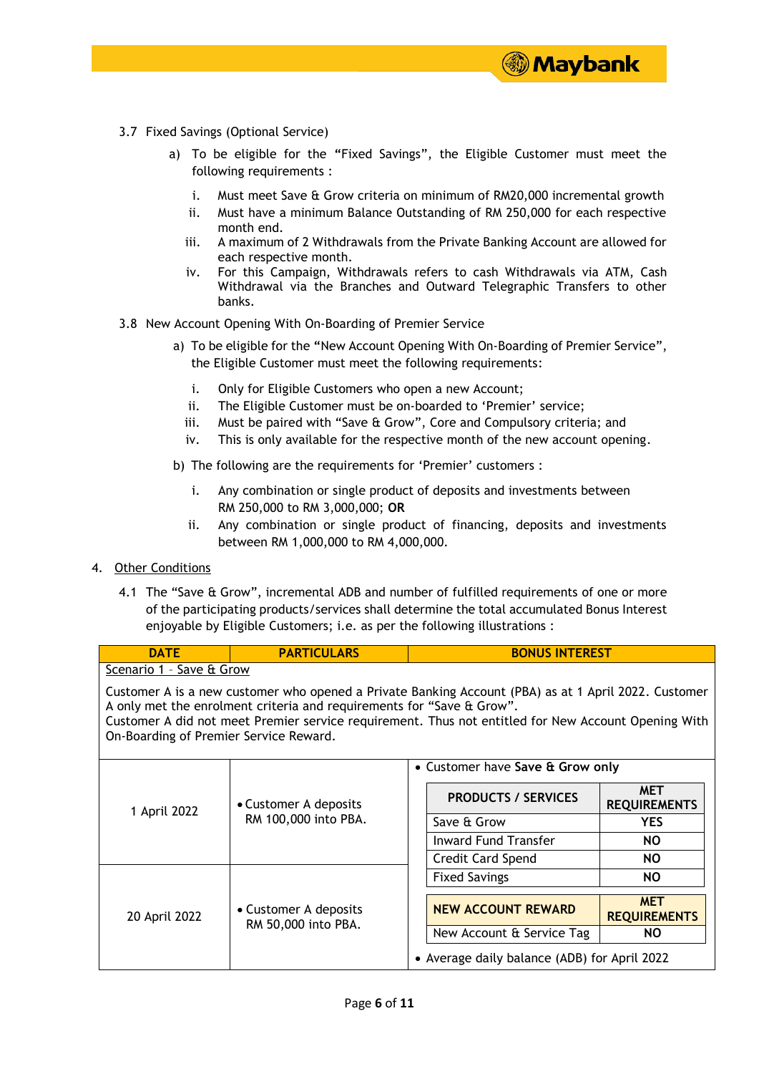- 3.7 Fixed Savings (Optional Service)
	- a) To be eligible for the **"**Fixed Savings", the Eligible Customer must meet the following requirements :
		- i. Must meet Save & Grow criteria on minimum of RM20,000 incremental growth

**③ Maybank** 

- ii. Must have a minimum Balance Outstanding of RM 250,000 for each respective month end.
- iii. A maximum of 2 Withdrawals from the Private Banking Account are allowed for each respective month.
- iv. For this Campaign, Withdrawals refers to cash Withdrawals via ATM, Cash Withdrawal via the Branches and Outward Telegraphic Transfers to other banks.
- 3.8 New Account Opening With On-Boarding of Premier Service
	- a) To be eligible for the **"**New Account Opening With On-Boarding of Premier Service", the Eligible Customer must meet the following requirements:
		- i. Only for Eligible Customers who open a new Account;
		- ii. The Eligible Customer must be on-boarded to 'Premier' service;
		- iii. Must be paired with "Save & Grow", Core and Compulsory criteria; and
		- iv. This is only available for the respective month of the new account opening.
	- b) The following are the requirements for 'Premier' customers :
		- i. Any combination or single product of deposits and investments between RM 250,000 to RM 3,000,000; **OR**
		- ii. Any combination or single product of financing, deposits and investments between RM 1,000,000 to RM 4,000,000.
- 4. Other Conditions
	- 4.1 The "Save & Grow", incremental ADB and number of fulfilled requirements of one or more of the participating products/services shall determine the total accumulated Bonus Interest enjoyable by Eligible Customers; i.e. as per the following illustrations :

| <b>DATE</b>                                                                                                                                                                                                                                                                                                                    | <b>PARTICULARS</b>                            | <b>BONUS INTEREST</b>                        |                                   |  |  |
|--------------------------------------------------------------------------------------------------------------------------------------------------------------------------------------------------------------------------------------------------------------------------------------------------------------------------------|-----------------------------------------------|----------------------------------------------|-----------------------------------|--|--|
| Scenario 1 - Save & Grow                                                                                                                                                                                                                                                                                                       |                                               |                                              |                                   |  |  |
| Customer A is a new customer who opened a Private Banking Account (PBA) as at 1 April 2022. Customer<br>A only met the enrolment criteria and requirements for "Save & Grow".<br>Customer A did not meet Premier service requirement. Thus not entitled for New Account Opening With<br>On-Boarding of Premier Service Reward. |                                               |                                              |                                   |  |  |
|                                                                                                                                                                                                                                                                                                                                |                                               | • Customer have Save & Grow only             |                                   |  |  |
| 1 April 2022                                                                                                                                                                                                                                                                                                                   | • Customer A deposits<br>RM 100,000 into PBA. | <b>PRODUCTS / SERVICES</b>                   | <b>MET</b><br><b>REQUIREMENTS</b> |  |  |
|                                                                                                                                                                                                                                                                                                                                |                                               | Save & Grow                                  | <b>YES</b>                        |  |  |
|                                                                                                                                                                                                                                                                                                                                |                                               | <b>Inward Fund Transfer</b>                  | <b>NO</b>                         |  |  |
|                                                                                                                                                                                                                                                                                                                                |                                               | Credit Card Spend                            | NO.                               |  |  |
|                                                                                                                                                                                                                                                                                                                                |                                               | <b>Fixed Savings</b>                         | NO.                               |  |  |
| 20 April 2022                                                                                                                                                                                                                                                                                                                  | • Customer A deposits<br>RM 50,000 into PBA.  | <b>NEW ACCOUNT REWARD</b>                    | <b>MET</b><br><b>REQUIREMENTS</b> |  |  |
|                                                                                                                                                                                                                                                                                                                                |                                               | New Account & Service Tag                    | NO.                               |  |  |
|                                                                                                                                                                                                                                                                                                                                |                                               | • Average daily balance (ADB) for April 2022 |                                   |  |  |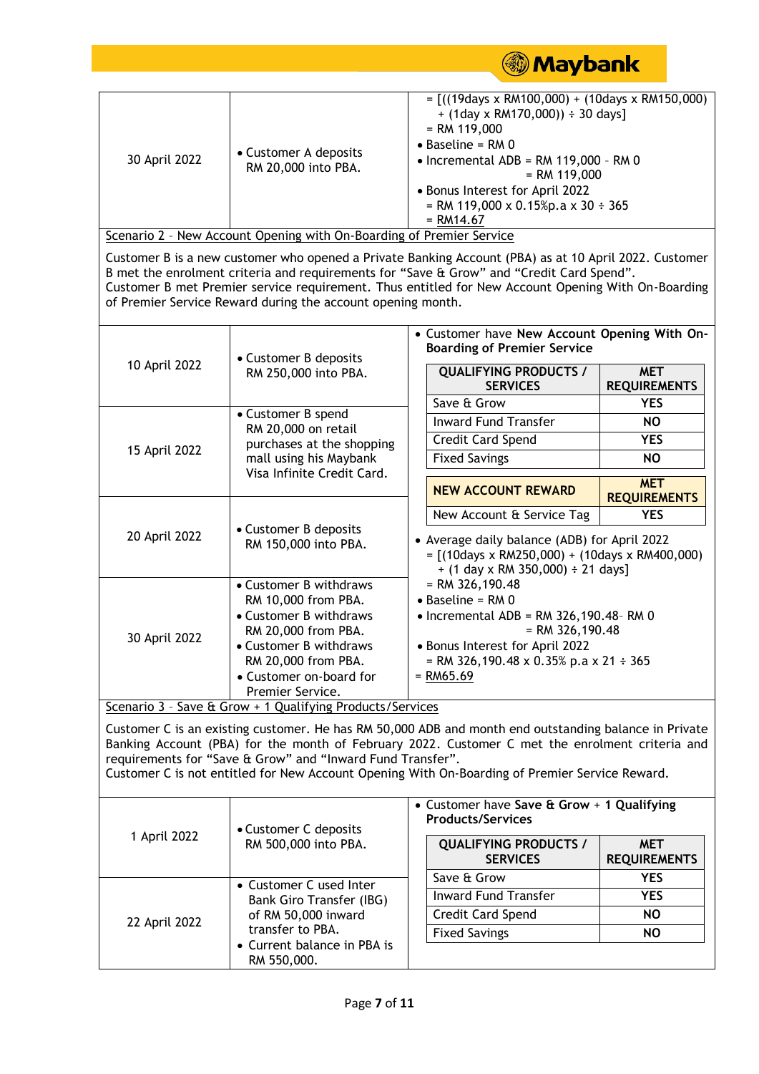| • Customer A deposits<br>30 April 2022<br>RM 20,000 into PBA.                                                                                                                                                                                                                                                                                                            |                                                                                                                                                                                                                                                                                                                                                                        | $=$ [((19days x RM100,000) + (10days x RM150,000)<br>$+$ (1day x RM170,000)) $\div$ 30 days]<br>$= RM 119,000$<br>$\bullet$ Baseline = RM 0<br>$\bullet$ Incremental ADB = RM 119,000 - RM 0<br>$= RM 119,000$<br>• Bonus Interest for April 2022<br>= RM 119,000 x 0.15%p.a x 30 ÷ 365<br>$= RM14.67$ |                                   |  |  |  |
|--------------------------------------------------------------------------------------------------------------------------------------------------------------------------------------------------------------------------------------------------------------------------------------------------------------------------------------------------------------------------|------------------------------------------------------------------------------------------------------------------------------------------------------------------------------------------------------------------------------------------------------------------------------------------------------------------------------------------------------------------------|--------------------------------------------------------------------------------------------------------------------------------------------------------------------------------------------------------------------------------------------------------------------------------------------------------|-----------------------------------|--|--|--|
|                                                                                                                                                                                                                                                                                                                                                                          | Scenario 2 - New Account Opening with On-Boarding of Premier Service                                                                                                                                                                                                                                                                                                   |                                                                                                                                                                                                                                                                                                        |                                   |  |  |  |
|                                                                                                                                                                                                                                                                                                                                                                          | Customer B is a new customer who opened a Private Banking Account (PBA) as at 10 April 2022. Customer<br>B met the enrolment criteria and requirements for "Save & Grow" and "Credit Card Spend".<br>Customer B met Premier service requirement. Thus entitled for New Account Opening With On-Boarding<br>of Premier Service Reward during the account opening month. |                                                                                                                                                                                                                                                                                                        |                                   |  |  |  |
|                                                                                                                                                                                                                                                                                                                                                                          | • Customer B deposits                                                                                                                                                                                                                                                                                                                                                  | • Customer have New Account Opening With On-<br><b>Boarding of Premier Service</b>                                                                                                                                                                                                                     |                                   |  |  |  |
| 10 April 2022                                                                                                                                                                                                                                                                                                                                                            | RM 250,000 into PBA.                                                                                                                                                                                                                                                                                                                                                   | <b>QUALIFYING PRODUCTS /</b><br><b>SERVICES</b>                                                                                                                                                                                                                                                        | <b>MET</b><br><b>REQUIREMENTS</b> |  |  |  |
|                                                                                                                                                                                                                                                                                                                                                                          |                                                                                                                                                                                                                                                                                                                                                                        | Save & Grow                                                                                                                                                                                                                                                                                            | <b>YES</b>                        |  |  |  |
|                                                                                                                                                                                                                                                                                                                                                                          | • Customer B spend<br>RM 20,000 on retail                                                                                                                                                                                                                                                                                                                              | <b>Inward Fund Transfer</b>                                                                                                                                                                                                                                                                            | <b>NO</b>                         |  |  |  |
|                                                                                                                                                                                                                                                                                                                                                                          | purchases at the shopping<br>mall using his Maybank                                                                                                                                                                                                                                                                                                                    | Credit Card Spend                                                                                                                                                                                                                                                                                      | <b>YES</b>                        |  |  |  |
| 15 April 2022                                                                                                                                                                                                                                                                                                                                                            |                                                                                                                                                                                                                                                                                                                                                                        | <b>Fixed Savings</b>                                                                                                                                                                                                                                                                                   | <b>NO</b>                         |  |  |  |
|                                                                                                                                                                                                                                                                                                                                                                          | Visa Infinite Credit Card.                                                                                                                                                                                                                                                                                                                                             | <b>NEW ACCOUNT REWARD</b>                                                                                                                                                                                                                                                                              | <b>MET</b><br><b>REQUIREMENTS</b> |  |  |  |
|                                                                                                                                                                                                                                                                                                                                                                          |                                                                                                                                                                                                                                                                                                                                                                        | New Account & Service Tag                                                                                                                                                                                                                                                                              | <b>YES</b>                        |  |  |  |
| • Customer B deposits<br>20 April 2022<br>RM 150,000 into PBA.                                                                                                                                                                                                                                                                                                           |                                                                                                                                                                                                                                                                                                                                                                        | • Average daily balance (ADB) for April 2022<br>$=$ [(10days x RM250,000) + (10days x RM400,000)<br>$+$ (1 day x RM 350,000) $\div$ 21 days]                                                                                                                                                           |                                   |  |  |  |
|                                                                                                                                                                                                                                                                                                                                                                          | • Customer B withdraws<br>RM 10,000 from PBA.                                                                                                                                                                                                                                                                                                                          | $=$ RM 326,190.48<br>$\bullet$ Baseline = RM 0                                                                                                                                                                                                                                                         |                                   |  |  |  |
|                                                                                                                                                                                                                                                                                                                                                                          | • Customer B withdraws<br>RM 20,000 from PBA.                                                                                                                                                                                                                                                                                                                          | $\bullet$ Incremental ADB = RM 326,190.48-RM 0<br>$=$ RM 326,190.48                                                                                                                                                                                                                                    |                                   |  |  |  |
| 30 April 2022                                                                                                                                                                                                                                                                                                                                                            | • Customer B withdraws                                                                                                                                                                                                                                                                                                                                                 | • Bonus Interest for April 2022                                                                                                                                                                                                                                                                        |                                   |  |  |  |
|                                                                                                                                                                                                                                                                                                                                                                          | RM 20,000 from PBA.<br>• Customer on-board for                                                                                                                                                                                                                                                                                                                         | = RM 326,190.48 x 0.35% p.a x 21 ÷ 365<br>$= RMS5.69$                                                                                                                                                                                                                                                  |                                   |  |  |  |
|                                                                                                                                                                                                                                                                                                                                                                          | Premier Service.                                                                                                                                                                                                                                                                                                                                                       |                                                                                                                                                                                                                                                                                                        |                                   |  |  |  |
|                                                                                                                                                                                                                                                                                                                                                                          | Scenario 3 - Save & Grow + 1 Qualifying Products/Services                                                                                                                                                                                                                                                                                                              |                                                                                                                                                                                                                                                                                                        |                                   |  |  |  |
| Customer C is an existing customer. He has RM 50,000 ADB and month end outstanding balance in Private<br>Banking Account (PBA) for the month of February 2022. Customer C met the enrolment criteria and<br>requirements for "Save & Grow" and "Inward Fund Transfer".<br>Customer C is not entitled for New Account Opening With On-Boarding of Premier Service Reward. |                                                                                                                                                                                                                                                                                                                                                                        |                                                                                                                                                                                                                                                                                                        |                                   |  |  |  |
|                                                                                                                                                                                                                                                                                                                                                                          |                                                                                                                                                                                                                                                                                                                                                                        | • Customer have Save & Grow + 1 Qualifying<br><b>Products/Services</b>                                                                                                                                                                                                                                 |                                   |  |  |  |
| 1 April 2022                                                                                                                                                                                                                                                                                                                                                             | • Customer C deposits<br>RM 500,000 into PBA.                                                                                                                                                                                                                                                                                                                          | <b>QUALIFYING PRODUCTS /</b><br><b>SERVICES</b>                                                                                                                                                                                                                                                        | <b>MET</b><br><b>REQUIREMENTS</b> |  |  |  |
|                                                                                                                                                                                                                                                                                                                                                                          | • Customer C used Inter                                                                                                                                                                                                                                                                                                                                                | Save & Grow                                                                                                                                                                                                                                                                                            | <b>YES</b>                        |  |  |  |
|                                                                                                                                                                                                                                                                                                                                                                          | Bank Giro Transfer (IBG)                                                                                                                                                                                                                                                                                                                                               | <b>Inward Fund Transfer</b>                                                                                                                                                                                                                                                                            | <b>YES</b>                        |  |  |  |
|                                                                                                                                                                                                                                                                                                                                                                          | of RM 50,000 inward                                                                                                                                                                                                                                                                                                                                                    | Credit Card Spend                                                                                                                                                                                                                                                                                      | <b>NO</b>                         |  |  |  |
| 22 April 2022                                                                                                                                                                                                                                                                                                                                                            | transfer to PBA.<br>• Current balance in PBA is<br>RM 550,000.                                                                                                                                                                                                                                                                                                         | <b>Fixed Savings</b>                                                                                                                                                                                                                                                                                   | <b>NO</b>                         |  |  |  |
|                                                                                                                                                                                                                                                                                                                                                                          |                                                                                                                                                                                                                                                                                                                                                                        |                                                                                                                                                                                                                                                                                                        |                                   |  |  |  |

**Maybank**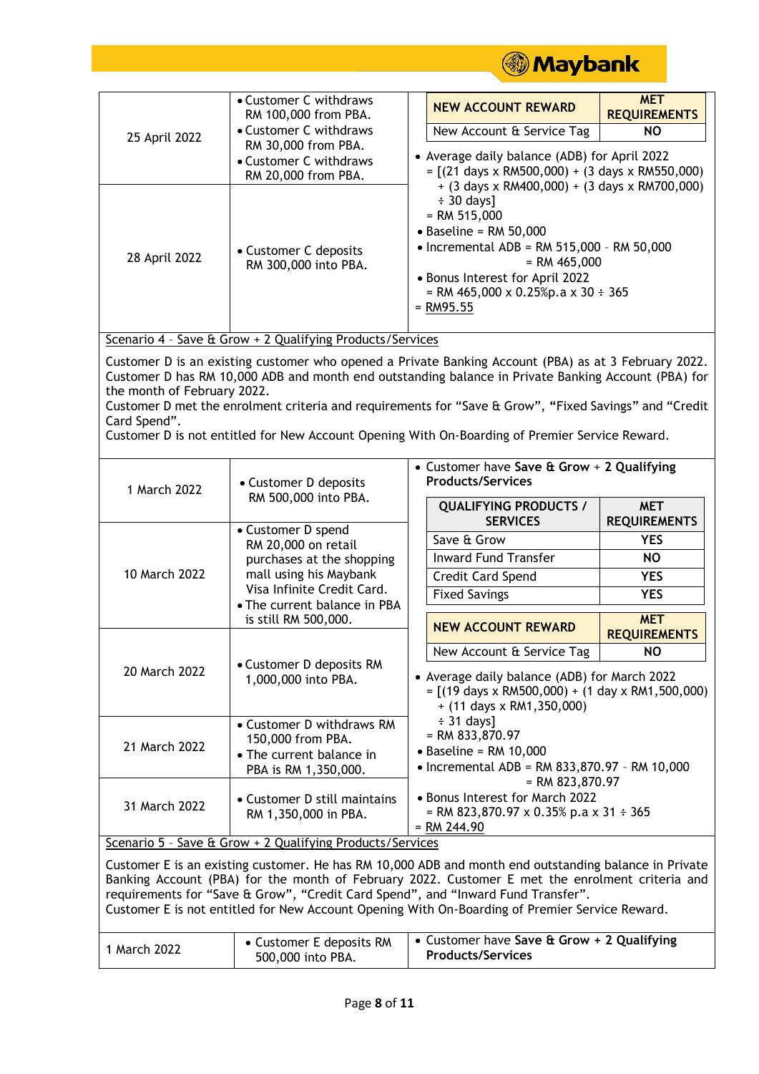

| 25 April 2022                                                                                                                                                                                                                                                                                                                                                                                                                                                         | • Customer C withdraws<br>RM 100,000 from PBA.<br>• Customer C withdraws                                                                                                                     |                                                                        | <b>NEW ACCOUNT REWARD</b>                                                                                                                                                                                                                                                              | <b>MET</b><br><b>REQUIREMENTS</b> |  |
|-----------------------------------------------------------------------------------------------------------------------------------------------------------------------------------------------------------------------------------------------------------------------------------------------------------------------------------------------------------------------------------------------------------------------------------------------------------------------|----------------------------------------------------------------------------------------------------------------------------------------------------------------------------------------------|------------------------------------------------------------------------|----------------------------------------------------------------------------------------------------------------------------------------------------------------------------------------------------------------------------------------------------------------------------------------|-----------------------------------|--|
|                                                                                                                                                                                                                                                                                                                                                                                                                                                                       |                                                                                                                                                                                              |                                                                        | New Account & Service Tag                                                                                                                                                                                                                                                              | <b>NO</b>                         |  |
|                                                                                                                                                                                                                                                                                                                                                                                                                                                                       | RM 30,000 from PBA.<br>• Customer C withdraws                                                                                                                                                |                                                                        | • Average daily balance (ADB) for April 2022                                                                                                                                                                                                                                           |                                   |  |
|                                                                                                                                                                                                                                                                                                                                                                                                                                                                       | RM 20,000 from PBA.                                                                                                                                                                          | $=$ [(21 days x RM500,000) + (3 days x RM550,000)                      |                                                                                                                                                                                                                                                                                        |                                   |  |
| 28 April 2022                                                                                                                                                                                                                                                                                                                                                                                                                                                         | • Customer C deposits<br>RM 300,000 into PBA.                                                                                                                                                |                                                                        | $+$ (3 days x RM400,000) + (3 days x RM700,000)<br>$\div$ 30 days]<br>$=$ RM 515,000<br>$\bullet$ Baseline = RM 50,000<br>$\bullet$ Incremental ADB = RM 515,000 - RM 50,000<br>$=$ RM 465,000<br>• Bonus Interest for April 2022<br>= RM 465,000 x 0.25%p.a x 30 ÷ 365<br>$=$ RM95.55 |                                   |  |
| Scenario 4 - Save & Grow + 2 Qualifying Products/Services                                                                                                                                                                                                                                                                                                                                                                                                             |                                                                                                                                                                                              |                                                                        |                                                                                                                                                                                                                                                                                        |                                   |  |
| Customer D is an existing customer who opened a Private Banking Account (PBA) as at 3 February 2022.<br>Customer D has RM 10,000 ADB and month end outstanding balance in Private Banking Account (PBA) for<br>the month of February 2022.<br>Customer D met the enrolment criteria and requirements for "Save & Grow", "Fixed Savings" and "Credit<br>Card Spend".<br>Customer D is not entitled for New Account Opening With On-Boarding of Premier Service Reward. |                                                                                                                                                                                              |                                                                        |                                                                                                                                                                                                                                                                                        |                                   |  |
| 1 March 2022                                                                                                                                                                                                                                                                                                                                                                                                                                                          | • Customer D deposits<br>RM 500,000 into PBA.<br>• Customer D spend                                                                                                                          | • Customer have Save & Grow + 2 Qualifying<br><b>Products/Services</b> |                                                                                                                                                                                                                                                                                        |                                   |  |
|                                                                                                                                                                                                                                                                                                                                                                                                                                                                       |                                                                                                                                                                                              |                                                                        | <b>QUALIFYING PRODUCTS /</b><br><b>SERVICES</b>                                                                                                                                                                                                                                        | <b>MET</b><br><b>REQUIREMENTS</b> |  |
| 10 March 2022                                                                                                                                                                                                                                                                                                                                                                                                                                                         | RM 20,000 on retail                                                                                                                                                                          |                                                                        | Save & Grow                                                                                                                                                                                                                                                                            | <b>YES</b>                        |  |
|                                                                                                                                                                                                                                                                                                                                                                                                                                                                       | purchases at the shopping<br>mall using his Maybank<br>Visa Infinite Credit Card.<br>• The current balance in PBA<br>is still RM 500,000.<br>• Customer D deposits RM<br>1,000,000 into PBA. |                                                                        | <b>Inward Fund Transfer</b>                                                                                                                                                                                                                                                            | <b>NO</b>                         |  |
|                                                                                                                                                                                                                                                                                                                                                                                                                                                                       |                                                                                                                                                                                              |                                                                        | Credit Card Spend                                                                                                                                                                                                                                                                      | <b>YES</b>                        |  |
|                                                                                                                                                                                                                                                                                                                                                                                                                                                                       |                                                                                                                                                                                              |                                                                        | <b>Fixed Savings</b>                                                                                                                                                                                                                                                                   | <b>YES</b>                        |  |
|                                                                                                                                                                                                                                                                                                                                                                                                                                                                       |                                                                                                                                                                                              |                                                                        | <b>NEW ACCOUNT REWARD</b>                                                                                                                                                                                                                                                              | <b>MET</b><br><b>REQUIREMENTS</b> |  |
|                                                                                                                                                                                                                                                                                                                                                                                                                                                                       |                                                                                                                                                                                              |                                                                        | New Account & Service Tag                                                                                                                                                                                                                                                              | <b>NO</b>                         |  |
| 20 March 2022                                                                                                                                                                                                                                                                                                                                                                                                                                                         |                                                                                                                                                                                              |                                                                        | • Average daily balance (ADB) for March 2022<br>$=$ [(19 days x RM500,000) + (1 day x RM1,500,000)<br>$+$ (11 days x RM1,350,000)                                                                                                                                                      |                                   |  |
| 21 March 2022                                                                                                                                                                                                                                                                                                                                                                                                                                                         | • Customer D withdraws RM<br>150,000 from PBA.<br>• The current balance in<br>PBA is RM 1,350,000.                                                                                           |                                                                        | $\div$ 31 days]<br>$=$ RM 833,870.97                                                                                                                                                                                                                                                   |                                   |  |
|                                                                                                                                                                                                                                                                                                                                                                                                                                                                       |                                                                                                                                                                                              |                                                                        | $\bullet$ Baseline = RM 10,000<br>• Incremental ADB = RM 833,870.97 - RM 10,000<br>$=$ RM 823,870.97                                                                                                                                                                                   |                                   |  |
|                                                                                                                                                                                                                                                                                                                                                                                                                                                                       |                                                                                                                                                                                              |                                                                        |                                                                                                                                                                                                                                                                                        |                                   |  |
| 31 March 2022                                                                                                                                                                                                                                                                                                                                                                                                                                                         | • Customer D still maintains<br>RM 1,350,000 in PBA.                                                                                                                                         |                                                                        | • Bonus Interest for March 2022<br>= RM 823,870.97 x 0.35% p.a x 31 ÷ 365<br>$= RM 244.90$                                                                                                                                                                                             |                                   |  |
| Scenario 5 - Save & Grow + 2 Qualifying Products/Services                                                                                                                                                                                                                                                                                                                                                                                                             |                                                                                                                                                                                              |                                                                        |                                                                                                                                                                                                                                                                                        |                                   |  |
| Customer E is an existing customer. He has RM 10,000 ADB and month end outstanding balance in Private<br>Banking Account (PBA) for the month of February 2022. Customer E met the enrolment criteria and<br>requirements for "Save & Grow", "Credit Card Spend", and "Inward Fund Transfer".<br>Customer E is not entitled for New Account Opening With On-Boarding of Premier Service Reward.                                                                        |                                                                                                                                                                                              |                                                                        |                                                                                                                                                                                                                                                                                        |                                   |  |
| 1 March 2022                                                                                                                                                                                                                                                                                                                                                                                                                                                          | • Customer E deposits RM<br>500,000 into PBA.                                                                                                                                                | • Customer have Save & Grow + 2 Qualifying<br><b>Products/Services</b> |                                                                                                                                                                                                                                                                                        |                                   |  |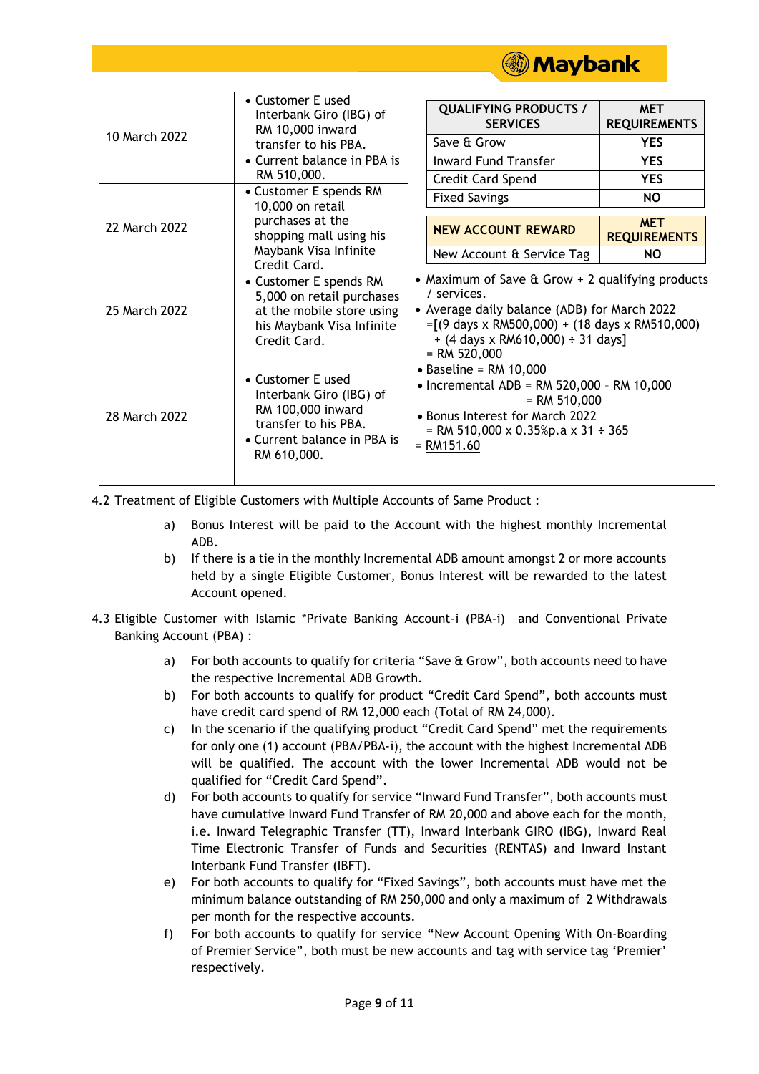

| 10 March 2022 | • Customer E used<br>Interbank Giro (IBG) of<br>RM 10,000 inward<br>transfer to his PBA.<br>• Current balance in PBA is<br>RM 510,000.<br>• Customer E spends RM<br>10,000 on retail<br>purchases at the<br>shopping mall using his<br>Maybank Visa Infinite<br>Credit Card. | <b>QUALIFYING PRODUCTS /</b><br><b>MET</b><br><b>REQUIREMENTS</b><br><b>SERVICES</b>                                                                                                                                                                             |  |  |
|---------------|------------------------------------------------------------------------------------------------------------------------------------------------------------------------------------------------------------------------------------------------------------------------------|------------------------------------------------------------------------------------------------------------------------------------------------------------------------------------------------------------------------------------------------------------------|--|--|
|               |                                                                                                                                                                                                                                                                              | Save & Grow<br><b>YES</b>                                                                                                                                                                                                                                        |  |  |
|               |                                                                                                                                                                                                                                                                              | <b>Inward Fund Transfer</b><br><b>YES</b>                                                                                                                                                                                                                        |  |  |
|               |                                                                                                                                                                                                                                                                              | Credit Card Spend<br><b>YES</b>                                                                                                                                                                                                                                  |  |  |
| 22 March 2022 |                                                                                                                                                                                                                                                                              | <b>NO</b><br><b>Fixed Savings</b>                                                                                                                                                                                                                                |  |  |
|               |                                                                                                                                                                                                                                                                              | <b>MET</b><br><b>NEW ACCOUNT REWARD</b><br><b>REQUIREMENTS</b>                                                                                                                                                                                                   |  |  |
|               |                                                                                                                                                                                                                                                                              | New Account & Service Tag<br>NO.                                                                                                                                                                                                                                 |  |  |
| 25 March 2022 | • Customer E spends RM<br>5,000 on retail purchases<br>at the mobile store using<br>his Maybank Visa Infinite<br>Credit Card.                                                                                                                                                | • Maximum of Save $\hat{a}$ Grow + 2 qualifying products<br>/ services.<br>• Average daily balance (ADB) for March 2022<br>$=[(9 \text{ days} \times \text{RM500},000) + (18 \text{ days} \times \text{RM510},000)]$<br>$+$ (4 days x RM610,000) $\div$ 31 days] |  |  |
| 28 March 2022 | • Customer E used<br>Interbank Giro (IBG) of<br>RM 100,000 inward<br>transfer to his PBA.<br>• Current balance in PBA is<br>RM 610,000.                                                                                                                                      | $=$ RM 520,000<br>$\bullet$ Baseline = RM 10,000<br>$\bullet$ Incremental ADB = RM 520,000 - RM 10,000<br>$= RM 510,000$<br>• Bonus Interest for March 2022<br>= RM 510,000 x 0.35%p.a x 31 ÷ 365<br>$= RM151.60$                                                |  |  |

4.2 Treatment of Eligible Customers with Multiple Accounts of Same Product :

- a) Bonus Interest will be paid to the Account with the highest monthly Incremental ADB.
- b) If there is a tie in the monthly Incremental ADB amount amongst 2 or more accounts held by a single Eligible Customer, Bonus Interest will be rewarded to the latest Account opened.
- 4.3 Eligible Customer with Islamic \*Private Banking Account-i (PBA-i) and Conventional Private Banking Account (PBA) :
	- a) For both accounts to qualify for criteria "Save & Grow", both accounts need to have the respective Incremental ADB Growth.
	- b) For both accounts to qualify for product "Credit Card Spend", both accounts must have credit card spend of RM 12,000 each (Total of RM 24,000).
	- c) In the scenario if the qualifying product "Credit Card Spend" met the requirements for only one (1) account (PBA/PBA-i), the account with the highest Incremental ADB will be qualified. The account with the lower Incremental ADB would not be qualified for "Credit Card Spend".
	- d) For both accounts to qualify for service "Inward Fund Transfer", both accounts must have cumulative Inward Fund Transfer of RM 20,000 and above each for the month, i.e. Inward Telegraphic Transfer (TT), Inward Interbank GIRO (IBG), Inward Real Time Electronic Transfer of Funds and Securities (RENTAS) and Inward Instant Interbank Fund Transfer (IBFT).
	- e) For both accounts to qualify for "Fixed Savings", both accounts must have met the minimum balance outstanding of RM 250,000 and only a maximum of 2 Withdrawals per month for the respective accounts.
	- f) For both accounts to qualify for service **"**New Account Opening With On-Boarding of Premier Service", both must be new accounts and tag with service tag 'Premier' respectively.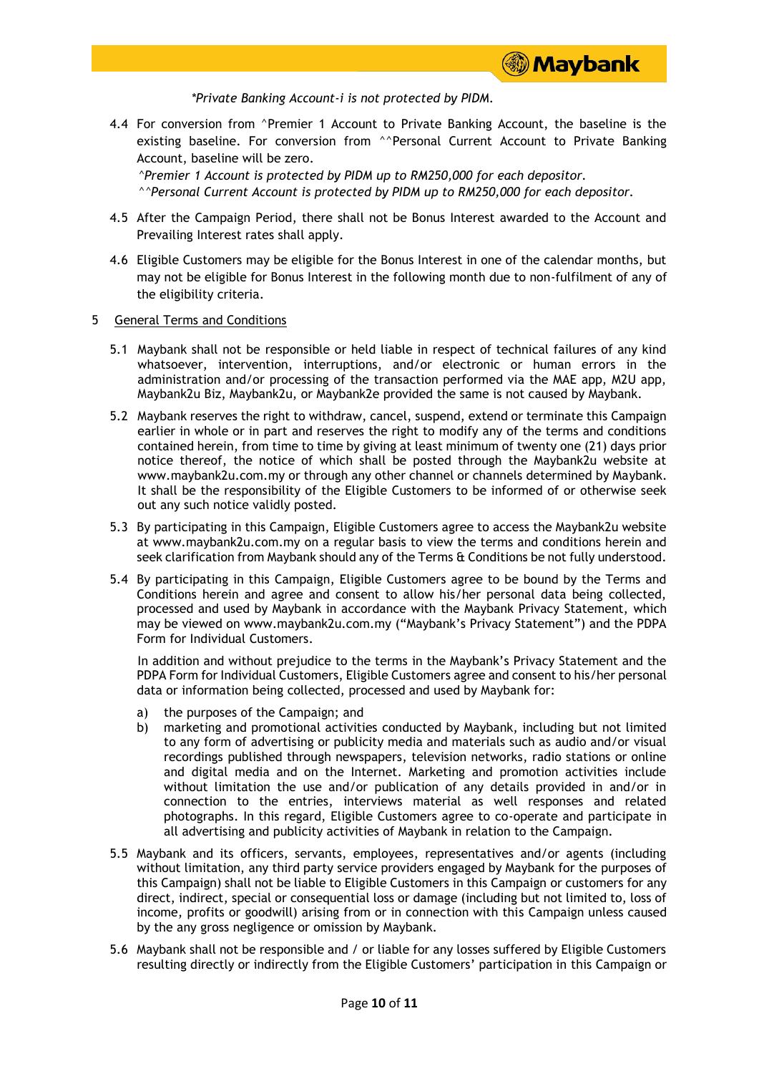

*\*Private Banking Account-i is not protected by PIDM.*

4.4 For conversion from ^Premier 1 Account to Private Banking Account, the baseline is the existing baseline. For conversion from <sup>^^</sup>Personal Current Account to Private Banking Account, baseline will be zero.

*^Premier 1 Account is protected by PIDM up to RM250,000 for each depositor. ^^Personal Current Account is protected by PIDM up to RM250,000 for each depositor.*

- 4.5 After the Campaign Period, there shall not be Bonus Interest awarded to the Account and Prevailing Interest rates shall apply.
- 4.6 Eligible Customers may be eligible for the Bonus Interest in one of the calendar months, but may not be eligible for Bonus Interest in the following month due to non-fulfilment of any of the eligibility criteria.

#### 5 General Terms and Conditions

- 5.1 Maybank shall not be responsible or held liable in respect of technical failures of any kind whatsoever, intervention, interruptions, and/or electronic or human errors in the administration and/or processing of the transaction performed via the MAE app, M2U app, Maybank2u Biz, Maybank2u, or Maybank2e provided the same is not caused by Maybank.
- 5.2 Maybank reserves the right to withdraw, cancel, suspend, extend or terminate this Campaign earlier in whole or in part and reserves the right to modify any of the terms and conditions contained herein, from time to time by giving at least minimum of twenty one (21) days prior notice thereof, the notice of which shall be posted through the Maybank2u website at www.maybank2u.com.my or through any other channel or channels determined by Maybank. It shall be the responsibility of the Eligible Customers to be informed of or otherwise seek out any such notice validly posted.
- 5.3 By participating in this Campaign, Eligible Customers agree to access the Maybank2u website at www.maybank2u.com.my on a regular basis to view the terms and conditions herein and seek clarification from Maybank should any of the Terms & Conditions be not fully understood.
- 5.4 By participating in this Campaign, Eligible Customers agree to be bound by the Terms and Conditions herein and agree and consent to allow his/her personal data being collected, processed and used by Maybank in accordance with the Maybank Privacy Statement, which may be viewed on www.maybank2u.com.my ("Maybank's Privacy Statement") and the PDPA Form for Individual Customers.

In addition and without prejudice to the terms in the Maybank's Privacy Statement and the PDPA Form for Individual Customers, Eligible Customers agree and consent to his/her personal data or information being collected, processed and used by Maybank for:

- a) the purposes of the Campaign; and
- b) marketing and promotional activities conducted by Maybank, including but not limited to any form of advertising or publicity media and materials such as audio and/or visual recordings published through newspapers, television networks, radio stations or online and digital media and on the Internet. Marketing and promotion activities include without limitation the use and/or publication of any details provided in and/or in connection to the entries, interviews material as well responses and related photographs. In this regard, Eligible Customers agree to co-operate and participate in all advertising and publicity activities of Maybank in relation to the Campaign.
- 5.5 Maybank and its officers, servants, employees, representatives and/or agents (including without limitation, any third party service providers engaged by Maybank for the purposes of this Campaign) shall not be liable to Eligible Customers in this Campaign or customers for any direct, indirect, special or consequential loss or damage (including but not limited to, loss of income, profits or goodwill) arising from or in connection with this Campaign unless caused by the any gross negligence or omission by Maybank.
- 5.6 Maybank shall not be responsible and / or liable for any losses suffered by Eligible Customers resulting directly or indirectly from the Eligible Customers' participation in this Campaign or